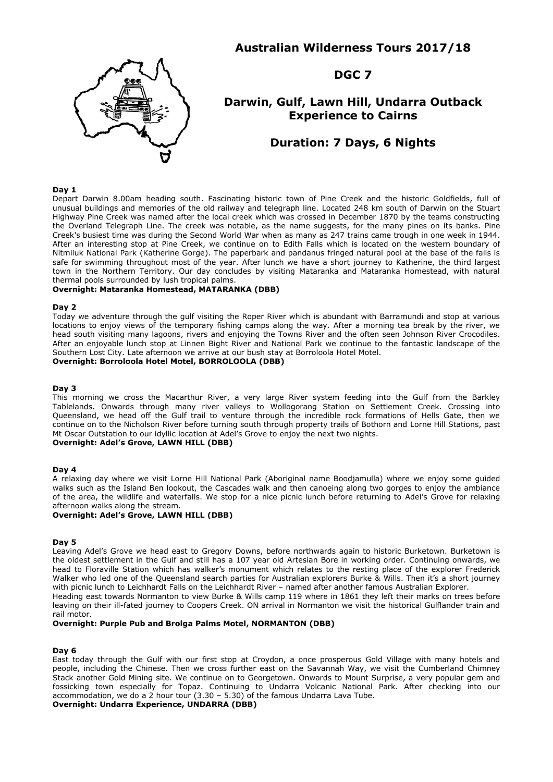# **Australian Wilderness Tours 2017/18**



**DGC 7**

# **Darwin, Gulf, Lawn Hill, Undarra Outback Experience to Cairns**

# **Duration: 7 Days, 6 Nights**

### **Day 1**

Depart Darwin 8.00am heading south. Fascinating historic town of Pine Creek and the historic Goldfields, full of unusual buildings and memories of the old railway and telegraph line. Located 248 km south of Darwin on the Stuart Highway Pine Creek was named after the local creek which was crossed in December 1870 by the teams constructing the Overland Telegraph Line. The creek was notable, as the name suggests, for the many pines on its banks. Pine Creek's busiest time was during the Second World War when as many as 247 trains came trough in one week in 1944. After an interesting stop at Pine Creek, we continue on to Edith Falls which is located on the western boundary of Nitmiluk National Park (Katherine Gorge). The paperbark and pandanus fringed natural pool at the base of the falls is safe for swimming throughout most of the year. After lunch we have a short journey to Katherine, the third largest town in the Northern Territory. Our day concludes by visiting Mataranka and Mataranka Homestead, with natural thermal pools surrounded by lush tropical palms.

# **Overnight: Mataranka Homestead, MATARANKA (DBB)**

#### **Day 2**

Today we adventure through the gulf visiting the Roper River which is abundant with Barramundi and stop at various locations to enjoy views of the temporary fishing camps along the way. After a morning tea break by the river, we head south visiting many lagoons, rivers and enjoying the Towns River and the often seen Johnson River Crocodiles. After an enjoyable lunch stop at Linnen Bight River and National Park we continue to the fantastic landscape of the Southern Lost City. Late afternoon we arrive at our bush stay at Borroloola Hotel Motel.

#### **Overnight: Borroloola Hotel Motel, BORROLOOLA (DBB)**

#### **Day 3**

This morning we cross the Macarthur River, a very large River system feeding into the Gulf from the Barkley Tablelands. Onwards through many river valleys to Wollogorang Station on Settlement Creek. Crossing into Queensland, we head off the Gulf trail to venture through the incredible rock formations of Hells Gate, then we continue on to the Nicholson River before turning south through property trails of Bothorn and Lorne Hill Stations, past Mt Oscar Outstation to our idyllic location at Adel's Grove to enjoy the next two nights. **Overnight: Adel's Grove, LAWN HILL (DBB)**

## **Day 4**

A relaxing day where we visit Lorne Hill National Park (Aboriginal name Boodjamulla) where we enjoy some guided walks such as the Island Ben lookout, the Cascades walk and then canoeing along two gorges to enjoy the ambiance of the area, the wildlife and waterfalls. We stop for a nice picnic lunch before returning to Adel's Grove for relaxing afternoon walks along the stream.

#### **Overnight: Adel's Grove, LAWN HILL (DBB)**

#### **Day 5**

Leaving Adel's Grove we head east to Gregory Downs, before northwards again to historic Burketown. Burketown is the oldest settlement in the Gulf and still has a 107 year old Artesian Bore in working order. Continuing onwards, we head to Floraville Station which has walker's monument which relates to the resting place of the explorer Frederick Walker who led one of the Queensland search parties for Australian explorers Burke & Wills. Then it's a short journey with picnic lunch to Leichhardt Falls on the Leichhardt River – named after another famous Australian Explorer. Heading east towards Normanton to view Burke & Wills camp 119 where in 1861 they left their marks on trees before

leaving on their ill-fated journey to Coopers Creek. ON arrival in Normanton we visit the historical Gulflander train and rail motor.

## **Overnight: Purple Pub and Brolga Palms Motel, NORMANTON (DBB)**

# **Day 6**

East today through the Gulf with our first stop at Croydon, a once prosperous Gold Village with many hotels and people, including the Chinese. Then we cross further east on the Savannah Way, we visit the Cumberland Chimney Stack another Gold Mining site. We continue on to Georgetown. Onwards to Mount Surprise, a very popular gem and fossicking town especially for Topaz. Continuing to Undarra Volcanic National Park. After checking into our accommodation, we do a 2 hour tour (3.30 – 5.30) of the famous Undarra Lava Tube.

## **Overnight: Undarra Experience, UNDARRA (DBB)**